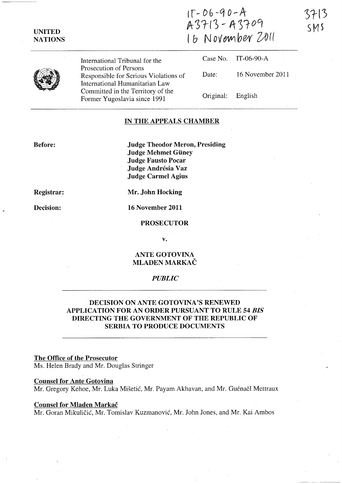Ir~06-q *o,-A A3rl3* **--** *A)fo9*  16 November 2011



**UNITED NATIONS** 

> International Tribunal for the Prosecution of Persons Responsible for Serious Violations of International Humanitarian Law Committed in the Territory of the Former Yugoslavia since 1991

Case No. IT-06-90-A Date: 16 November 2011 Original: English

# **IN THE APPEALS CHAMBER**

**Before:** 

**Judge Theodor Meron, Presiding Judge Mehmet Giiney Judge Fausto Pocar Judge Andresia Vaz Judge Carmel Agius** 

**Registrar:** 

**Decision:** 

**Mr. John Hocking** 

**16 November 2011** 

### **PROSECUTOR**

**v.** 

# **ANTE GOTOVINA MLADEN MARKAC**

# *PUBLIC*

# **DECISION ON ANTE GOTOVINA'S RENEWED APPLICATION FOR AN ORDER PURSUANT TO RULE 54** *BIS*  **DIRECTING THE GOVERNMENT OF THE REPUBLIC OF SERBIA TO PRODUCE DOCUMENTS**

# **The Office of the Prosecutor**

Ms. Helen Brady and Mr. Douglas Stringer

## **Counsel for Ante Gotovina**

Mr. Gregory Kehoe, Mr. Luka Mišetić, Mr. Payam Akhavan, and Mr. Guénaël Mettraux

### **Counsel for Mladen Markac**

Mr. Goran Mikuličić, Mr. Tomislav Kuzmanović, Mr. John Jones, and Mr. Kai Ambos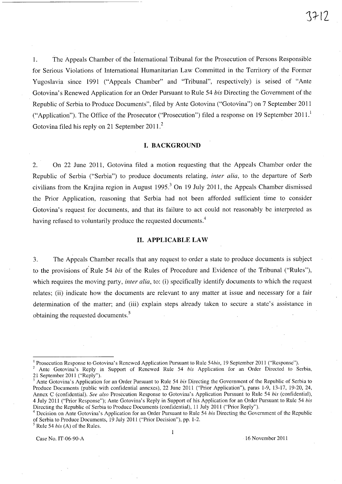1. The Appeals Chamber of the International Tribunal for the Prosecution of Persons Responsible for Serious Violations of International Humanitarian Law Committed in the Territory of the Former Yugoslavia since 1991 ("Appeals Chamber" and "Tribunal", respectively) is seised of "Ante Gotovina's Renewed Application for an Order Pursuant to Rule 54 *bis* Directing the Government of the Republic of Serbia to Produce Documents", filed by Ante Gotovina ("Gotovina") on 7 September 2011 ("Application"). The Office of the Prosecutor ("Prosecution") filed a response on 19 September  $2011<sup>1</sup>$ Gotovina filed his reply on 21 September 2011.<sup>2</sup>

## **I. BACKGROUND**

2. On 22 June 2011, Gotovina filed a motion requesting that the Appeals Chamber order the Republic of Serbia ("Serbia") to produce documents relating, *inter alia,* to the departure of Serb civilians from the Krajina region in August 1995.<sup>3</sup> On 19 July 2011, the Appeals Chamber dismissed the Prior Application, reasoning that Serbia had not been afforded sufficient time to consider Gotovina's request for documents, and that its failure to act could not reasonably be interpreted as having refused to voluntarily produce the requested documents.<sup>4</sup>

# **H. APPLICABLE LAW**

3. The Appeals Chamber recalls that any request to order a state to produce documents is subject to the provisions of Rule 54 *bis* of the Rules of Procedure and Evidence of the Tribunal ("Rules"), which requires the moving party, *inter alia*, to: (i) specifically identify documents to which the request relates; (ii) indicate how the documents are relevant to any matter at issue and necessary for a fair determination of the matter; and (iii) explain steps already taken to secure a state's assistance in obtaining the requested documents.<sup>5</sup>

 $\mathbf{1}$ 

Case No. IT-06-90-A 16 November 2011

<sup>&</sup>lt;sup>1</sup> Prosecution Response to Gotovina's Renewed Application Pursuant to Rule 54*bis*, 19 September 2011 ("Response").

<sup>2</sup>Ante Gotovina's Reply in Support of Renewed Rule 54 *his* Application for an Order Directed to Serbia, 21 September 2011 ("Reply").

<sup>3</sup> Ante Gotovina's Application for an Order Pursuant to Rule 54 *his* Directing the Government of the Republic of Serbia to Produce Documents (public with confidential annexes), 22 June 2011 ("Prior Application"), paras 1-9, 13-l7, 19-20, 24, Annex C (confidential). *See also* Prosecution Response to Gotovina's Application Pursuant to Rule 54 *his* (confidential), 4 July 2011 ("Prior Response"); Ante Gotovina's Reply in Support of his Application for an Order Pursuant to Rule 54 *his*  Directing the Republic of Serbia to Produce Documents (confidential), 11 July 2011 ("Prior Reply").

<sup>4</sup> Decision on Ante Gotovina's Application for an Order Pursuant to Rule 54 *his* Directing the Government of the Republic of Serbia to Produce Documents, 19 July 2011 ("Prior Decision"), pp. 1-2. 5 Rule 54 *his* (A) of the Rules.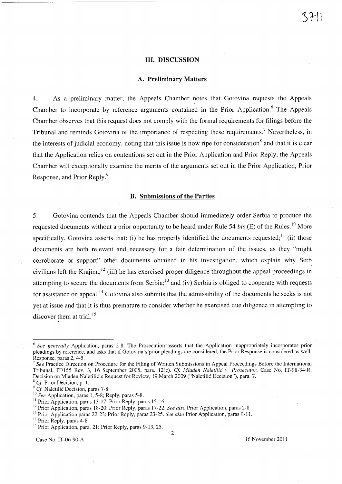## **Ill. DISCUSSION**

#### **A. Preliminary Matters**

4. As a preliminary matter, the Appeals Chamber notes that Gotovina requests the Appeals , Chamber to incorporate by reference arguments contained in the Prior Application.<sup>6</sup> The Appeals Chamber observes that this request does not comply with the formal requirements for filings before the Tribunal and reminds Gotovina of the importance of respecting these requirements.? Nevertheless, in the interests of judicial economy, noting that this issue is now ripe for consideration<sup>8</sup> and that it is clear that the Application relies on contentions set out in the Prior Application and Prior Reply, the Appeals Chamber will exceptionally examine the merits of the arguments set out in the Prior Application, Prior Response, and Prior Reply.9

## **B. Submissions of the Parties**

5. Gotovina contends that the Appeals Chamber should immediately order Serbia to produce the requested documents without a prior opportunity to be heard under Rule 54 *his* (E) of the Rules. 10 More specifically, Gotovina asserts that: (i) he has properly identified the documents requested;  $\frac{1}{11}$  (ii) those documents are both relevant and necessary for a fair determination of the issues, as they "might corroborate or support" other documents obtained in his investigation, which explain why Serb civilians left the Krajina;<sup>12</sup> (iii) he has exercised proper diligence throughout the appeal proceedings in attempting to secure the documents from Serbia;<sup>13</sup> and (iv) Serbia is obliged to cooperate with requests for assistance on appeal.<sup>14</sup> Gotovina also submits that the admissibility of the documents he seeks is not yet at issue and that it is thus premature to consider whether he exercised due diligence in attempting to discover them at trial.<sup>15</sup>

Case No. IT-06-90-A 16 November 2011

2

<sup>6</sup>*See generally* Application, paras 2-S. The Prosecution asserts that the Application inappropriately incorporates prior pleadings by reference, and asks that if Gotovina's prior pleadings are considered, the Prior Response is considered as well. Response, paras 2, 4-5.

<sup>7</sup>*See* Practice Direction on Procedure for the Filing of Written Submissions in Appeal Proceedings Before the International Tribunal, *IT/155* Rev. 3, 16 September 2005, para. 12(c). *Cl Mladen Naletilic' v. Prosecutor,* Case No. IT-9S-34-R, Decision on Mladen Naletilic's Request for Review, 19 March 2009 ("Naletilic Decision"), para. 7.

 $8$  Cf. Prior Decision, p. 1.

<sup>&</sup>lt;sup>9</sup> Cf. Naletilic Decision, paras 7-8.

<sup>&</sup>lt;sup>10</sup> See Application, paras 1, 5-8; Reply, paras 5-8.

<sup>&</sup>lt;sup>11</sup> Prior Application, paras 13-17; Prior Reply, paras 15-16.

<sup>&</sup>lt;sup>12</sup> Prior Application, paras 18-20; Prior Reply, paras 17-22. *See also* Prior Application, paras 2-8.

<sup>&</sup>lt;sup>13</sup> Prior Application paras 22-23; Prior Reply, paras 23-25. *See also* Prior Application, paras 9-11.

<sup>&</sup>lt;sup>14</sup> Prior Reply, paras 4-8.

<sup>&</sup>lt;sup>15</sup> Prior Application, para. 21; Prior Reply, paras 9-13, 25.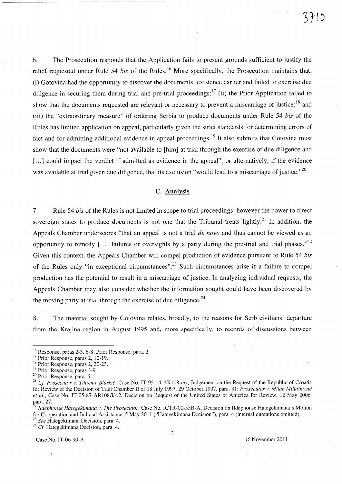6. The Prosecution responds that the Application fails to present grounds sufficient to justify the relief requested under Rule 54 *bis* of the Rules.<sup>16</sup> More specifically, the Prosecution maintains that: (i) Gotovina had the opportunity to discover the documents' existence earlier and failed to exercise due diligence in securing them during trial and pre-trial proceedings;<sup>17</sup> (ii) the Prior Application failed to show that the documents requested are relevant or necessary to prevent a miscarriage of justice;  $^{18}$  and (iii) the "extraordinary measure" of ordering Serbia to produce documents under Rule 54 *his* of the Rules has limited application on appeal, particularly given the strict standards for determining errors of fact and for admitting additional evidence in appeal proceedings.<sup>19</sup> It also submits that Gotovina must show that the documents were "not available to [him] at trial through the exercise of due diligence and [...] could impact the verdict if admitted as evidence in the appeal", or alternatively, if the evidence was available at trial given due diligence, that its exclusion "would lead to a miscarriage of justice." $^{20}$ 

# C. Analysis

7. Rule 54 *his* of the Rules is not limited in scope to trial proceedings; however the power to direct sovereign states to produce documents is not one that the Tribunal treats lightly.<sup>21</sup> In addition, the Appeals Chamber underscores "that an appeal is not a trial *de novo* and thus cannot be viewed as an opportunity to remedy [...] failures or oversights by a party during the pre-trial and trial phases.<sup>22</sup> Given this context, the Appeals Chamber will compel production of evidence pursuant to Rule 54 *his*  of the Rules only "in exceptional circumstances".<sup>23</sup> Such circumstances arise if a failure to compel production has the potential to result in a miscarriage of justice. In analyzing individual requests, the Appeals Chamber may also consider whether the information sought could have been discovered by the moving party at trial through the exercise of due diligence.<sup>24</sup>

8. The material sought by Gotovina relates, broadly, to the reasons for Serb civilians' departure from the Krajina region in August 1995 and, more specifically, to records of discussions between

<sup>24</sup> Cf. Hategekimana Decision, para. 4.

Case No. IT-06-90-A 16 November 2011

 $16$  Response, paras 2-3, 6-8; Prior Response, para. 2.

<sup>&</sup>lt;sup>17</sup> Prior Response, paras 2, 10-19.

<sup>18</sup> Prior Response, paras 2, 20-23.

<sup>&</sup>lt;sup>19</sup> Prior Response, paras 3-9.

<sup>20</sup> Prior Response, para. 6.

<sup>21</sup>*Cf Prosecutor v. Tihomir Bla§kiG',* Case No. IT-9S-14-AR108 *his,* Judgement on the Request of the Republic of Croatia for Review of the Decision of Trial Chamber II of 18 July 1997,29 October 1997, para. 31; *Prosecutor v. Milan MilutinoviG' et al.,* Case No. *IT-OS-87-AR108Bis.2,* Decision on Request of the United States of America for Review, 12 May 2006, para. 27.

*<sup>2</sup> Ildephonse Hategekimana v. The Prosecutor,* Case No. ICTR-OO-SSB-A, Decision on Ildephonse Hategekimana's Motion for Cooperation and Judicial Assistance, S May 2011 ("Hategekimana Decision"), para. 4 (internal quotations omitted). *23 See* Hategekimana Decision, para. 4.